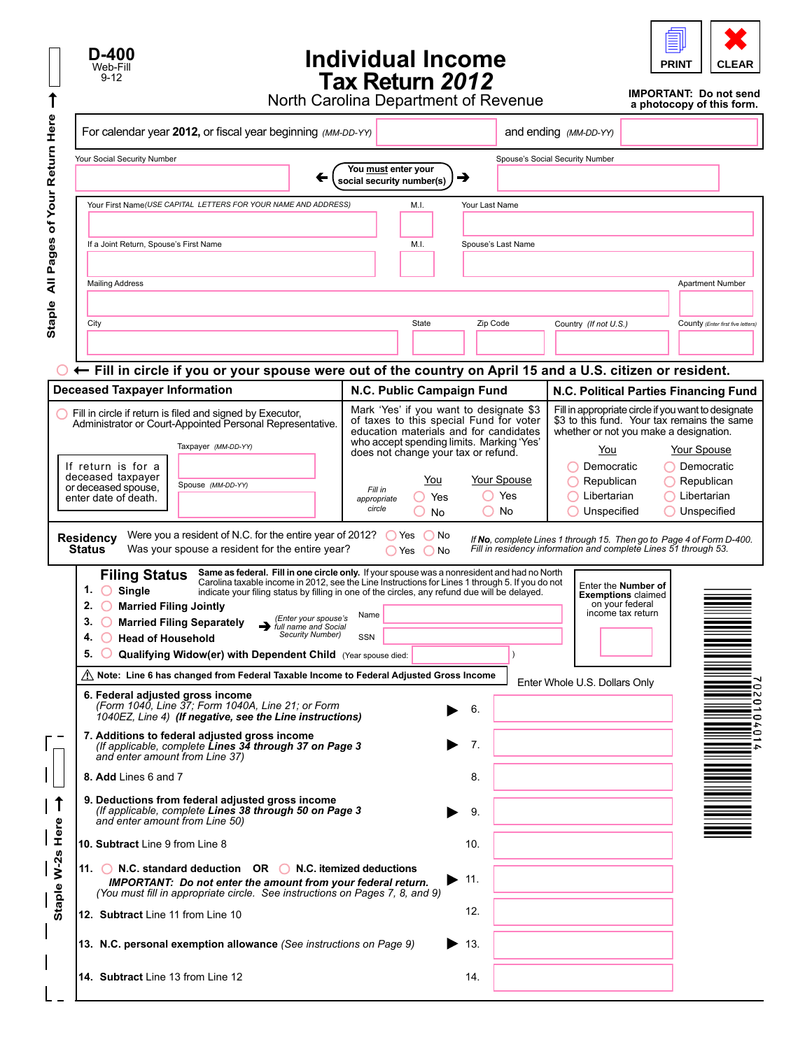| D-400<br>Web-Fill<br>9-12 |
|---------------------------|
|---------------------------|

↑

## **Individual Income Tax Return** *2012*



North Carolina Department of Revenue

**IMPORTANT: Do not send a photocopy of this form.** 

| For calendar year 2012, or fiscal year beginning (MM-DD-YY)                                                                                                                                                                                                                                                                                                                                                                                                                                                                           |                                                                                     |                    | and ending (MM-DD-YY)           |                                        |                                                                            |                                                                                                    |   |
|---------------------------------------------------------------------------------------------------------------------------------------------------------------------------------------------------------------------------------------------------------------------------------------------------------------------------------------------------------------------------------------------------------------------------------------------------------------------------------------------------------------------------------------|-------------------------------------------------------------------------------------|--------------------|---------------------------------|----------------------------------------|----------------------------------------------------------------------------|----------------------------------------------------------------------------------------------------|---|
| Your Social Security Number                                                                                                                                                                                                                                                                                                                                                                                                                                                                                                           |                                                                                     |                    | Spouse's Social Security Number |                                        |                                                                            |                                                                                                    |   |
|                                                                                                                                                                                                                                                                                                                                                                                                                                                                                                                                       | You must enter your<br>social security number(s)                                    | →                  |                                 |                                        |                                                                            |                                                                                                    |   |
| Your First Name/USE CAPITAL LETTERS FOR YOUR NAME AND ADDRESS)                                                                                                                                                                                                                                                                                                                                                                                                                                                                        | M.I.                                                                                | Your Last Name     |                                 |                                        |                                                                            |                                                                                                    |   |
|                                                                                                                                                                                                                                                                                                                                                                                                                                                                                                                                       |                                                                                     |                    |                                 |                                        |                                                                            |                                                                                                    |   |
| If a Joint Return, Spouse's First Name                                                                                                                                                                                                                                                                                                                                                                                                                                                                                                | M.I.                                                                                | Spouse's Last Name |                                 |                                        |                                                                            |                                                                                                    |   |
|                                                                                                                                                                                                                                                                                                                                                                                                                                                                                                                                       |                                                                                     |                    |                                 |                                        |                                                                            |                                                                                                    |   |
| <b>Mailing Address</b>                                                                                                                                                                                                                                                                                                                                                                                                                                                                                                                |                                                                                     |                    |                                 |                                        |                                                                            | <b>Apartment Number</b>                                                                            |   |
|                                                                                                                                                                                                                                                                                                                                                                                                                                                                                                                                       |                                                                                     |                    |                                 |                                        |                                                                            |                                                                                                    |   |
| City                                                                                                                                                                                                                                                                                                                                                                                                                                                                                                                                  | State                                                                               | Zip Code           |                                 | Country (If not U.S.)                  |                                                                            | County (Enter first five letters)                                                                  |   |
|                                                                                                                                                                                                                                                                                                                                                                                                                                                                                                                                       |                                                                                     |                    |                                 |                                        |                                                                            |                                                                                                    |   |
|                                                                                                                                                                                                                                                                                                                                                                                                                                                                                                                                       |                                                                                     |                    |                                 |                                        |                                                                            |                                                                                                    |   |
| ← Fill in circle if you or your spouse were out of the country on April 15 and a U.S. citizen or resident.<br><b>Deceased Taxpayer Information</b>                                                                                                                                                                                                                                                                                                                                                                                    | N.C. Public Campaign Fund                                                           |                    |                                 |                                        |                                                                            | N.C. Political Parties Financing Fund                                                              |   |
|                                                                                                                                                                                                                                                                                                                                                                                                                                                                                                                                       |                                                                                     |                    |                                 |                                        |                                                                            |                                                                                                    |   |
| Fill in circle if return is filed and signed by Executor,<br>Administrator or Court-Appointed Personal Representative.                                                                                                                                                                                                                                                                                                                                                                                                                | Mark 'Yes' if you want to designate \$3<br>of taxes to this special Fund for voter  |                    |                                 |                                        |                                                                            | Fill in appropriate circle if you want to designate<br>\$3 to this fund. Your tax remains the same |   |
| Taxpayer (MM-DD-YY)                                                                                                                                                                                                                                                                                                                                                                                                                                                                                                                   | education materials and for candidates<br>who accept spending limits. Marking 'Yes' |                    |                                 | whether or not you make a designation. |                                                                            |                                                                                                    |   |
| If return is for a                                                                                                                                                                                                                                                                                                                                                                                                                                                                                                                    | does not change your tax or refund.                                                 |                    |                                 | You<br>Democratic                      |                                                                            | Your Spouse<br>◯ Democratic                                                                        |   |
| deceased taxpayer<br>Spouse (MM-DD-YY)                                                                                                                                                                                                                                                                                                                                                                                                                                                                                                | You                                                                                 | Your Spouse        |                                 | Republican                             |                                                                            | $\bigcirc$ Republican                                                                              |   |
| or deceased spouse.<br>enter date of death.                                                                                                                                                                                                                                                                                                                                                                                                                                                                                           | Fill in<br>Yes<br>appropriate                                                       |                    | Yes                             | Libertarian                            |                                                                            | $\bigcirc$ Libertarian                                                                             |   |
|                                                                                                                                                                                                                                                                                                                                                                                                                                                                                                                                       | circle<br>No                                                                        |                    | No                              | Unspecified                            |                                                                            | ◯ Unspecified                                                                                      |   |
| Same as federal. Fill in one circle only. If your spouse was a nonresident and had no North<br><b>Filing Status</b><br>Carolina taxable income in 2012, see the Line Instructions for Lines 1 through 5. If you do not<br>1.<br>Single<br>$\bigcap$<br>indicate your filing status by filling in one of the circles, any refund due will be delayed.<br><b>Married Filing Jointly</b><br>Enter your spouse's<br>full name and Social<br><b>Married Filing Separately</b><br><b>Security Number)</b><br><b>Head of Household</b><br>4. | Name<br><b>SSN</b>                                                                  |                    |                                 | income tax return                      | Enter the <b>Number of</b><br><b>Exemptions claimed</b><br>on your federal |                                                                                                    |   |
| Qualifying Widow(er) with Dependent Child (Year spouse died:<br>5.                                                                                                                                                                                                                                                                                                                                                                                                                                                                    |                                                                                     |                    |                                 |                                        |                                                                            |                                                                                                    |   |
| Note: Line 6 has changed from Federal Taxable Income to Federal Adjusted Gross Income                                                                                                                                                                                                                                                                                                                                                                                                                                                 |                                                                                     |                    |                                 | Enter Whole U.S. Dollars Only          |                                                                            |                                                                                                    |   |
| 6. Federal adjusted gross income<br>(Form 1040, Line 37; Form 1040A, Line 21; or Form<br>1040EZ, Line 4) (If negative, see the Line instructions)                                                                                                                                                                                                                                                                                                                                                                                     |                                                                                     | 6.                 |                                 |                                        |                                                                            |                                                                                                    | 0 |
| 7. Additions to federal adjusted gross income<br>(If applicable, complete Lines 34 through 37 on Page 3<br>and enter amount from Line 37)                                                                                                                                                                                                                                                                                                                                                                                             |                                                                                     | 7.                 |                                 |                                        |                                                                            |                                                                                                    |   |
| 8. Add Lines 6 and 7                                                                                                                                                                                                                                                                                                                                                                                                                                                                                                                  |                                                                                     | 8.                 |                                 |                                        |                                                                            |                                                                                                    |   |
| 9. Deductions from federal adjusted gross income<br>(If applicable, complete Lines 38 through 50 on Page 3<br>and enter amount from Line 50)                                                                                                                                                                                                                                                                                                                                                                                          |                                                                                     | 9.                 |                                 |                                        |                                                                            |                                                                                                    |   |
| 10. Subtract Line 9 from Line 8                                                                                                                                                                                                                                                                                                                                                                                                                                                                                                       |                                                                                     | 10.                |                                 |                                        |                                                                            |                                                                                                    |   |
| 11. $\bigcirc$ N.C. standard deduction OR $\bigcirc$ N.C. itemized deductions<br><b>IMPORTANT:</b> Do not enter the amount from your federal return.<br>(You must fill in appropriate circle. See instructions on Pages 7, 8, and 9)                                                                                                                                                                                                                                                                                                  |                                                                                     | 11.                |                                 |                                        |                                                                            |                                                                                                    |   |
| 12. Subtract Line 11 from Line 10                                                                                                                                                                                                                                                                                                                                                                                                                                                                                                     |                                                                                     | 12.                |                                 |                                        |                                                                            |                                                                                                    |   |
| 13. N.C. personal exemption allowance (See instructions on Page 9)                                                                                                                                                                                                                                                                                                                                                                                                                                                                    |                                                                                     | 13.                |                                 |                                        |                                                                            |                                                                                                    |   |
| 14. Subtract Line 13 from Line 12                                                                                                                                                                                                                                                                                                                                                                                                                                                                                                     |                                                                                     |                    |                                 |                                        |                                                                            |                                                                                                    |   |
|                                                                                                                                                                                                                                                                                                                                                                                                                                                                                                                                       |                                                                                     | 14.                |                                 |                                        |                                                                            |                                                                                                    |   |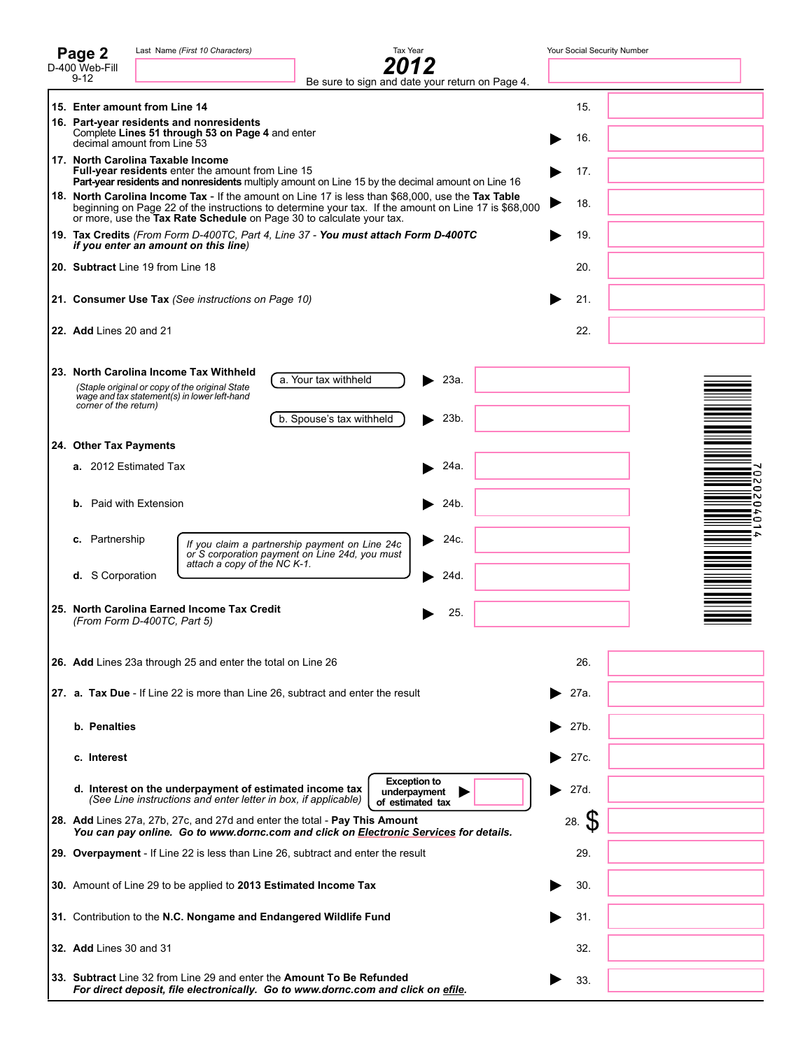| Page 2                                                                                                                                                                                                                                                                                                                                                                                | Last Name (First 10 Characters)                                                                                             | Tax Year                                                                                                                                                            |      | Your Social Security Number |                               |
|---------------------------------------------------------------------------------------------------------------------------------------------------------------------------------------------------------------------------------------------------------------------------------------------------------------------------------------------------------------------------------------|-----------------------------------------------------------------------------------------------------------------------------|---------------------------------------------------------------------------------------------------------------------------------------------------------------------|------|-----------------------------|-------------------------------|
| D-400 Web-Fill<br>$9 - 12$                                                                                                                                                                                                                                                                                                                                                            |                                                                                                                             | Be sure to sign and date your return on Page 4.                                                                                                                     |      |                             |                               |
|                                                                                                                                                                                                                                                                                                                                                                                       | 15. Enter amount from Line 14                                                                                               |                                                                                                                                                                     |      | 15.                         |                               |
|                                                                                                                                                                                                                                                                                                                                                                                       | 16. Part-year residents and nonresidents<br>Complete Lines 51 through 53 on Page 4 and enter<br>decimal amount from Line 53 |                                                                                                                                                                     |      | 16.                         |                               |
|                                                                                                                                                                                                                                                                                                                                                                                       | 17. North Carolina Taxable Income<br><b>Full-year residents</b> enter the amount from Line 15                               | 17.                                                                                                                                                                 |      |                             |                               |
| Part-year residents and nonresidents multiply amount on Line 15 by the decimal amount on Line 16<br>18. North Carolina Income Tax - If the amount on Line 17 is less than \$68,000, use the Tax Table<br>beginning on Page 22 of the instructions to determine your tax. If the amount on Line 17 is \$68,000<br>or more, use the Tax Rate Schedule on Page 30 to calculate your tax. |                                                                                                                             |                                                                                                                                                                     |      |                             |                               |
|                                                                                                                                                                                                                                                                                                                                                                                       | if you enter an amount on this line)                                                                                        | 19. Tax Credits (From Form D-400TC, Part 4, Line 37 - You must attach Form D-400TC                                                                                  |      | 19.                         |                               |
|                                                                                                                                                                                                                                                                                                                                                                                       | 20. Subtract Line 19 from Line 18                                                                                           |                                                                                                                                                                     |      | 20.                         |                               |
|                                                                                                                                                                                                                                                                                                                                                                                       | 21. Consumer Use Tax (See instructions on Page 10)                                                                          |                                                                                                                                                                     |      | 21.                         |                               |
| <b>22. Add Lines 20 and 21</b>                                                                                                                                                                                                                                                                                                                                                        |                                                                                                                             |                                                                                                                                                                     |      | 22.                         |                               |
|                                                                                                                                                                                                                                                                                                                                                                                       | 23. North Carolina Income Tax Withheld<br>(Staple original or copy of the original State                                    | a. Your tax withheld                                                                                                                                                | 23a. |                             |                               |
| corner of the return)                                                                                                                                                                                                                                                                                                                                                                 | wage and tax statement(s) in lower left-hand                                                                                | b. Spouse's tax withheld                                                                                                                                            | 23b. |                             |                               |
| 24. Other Tax Payments                                                                                                                                                                                                                                                                                                                                                                |                                                                                                                             |                                                                                                                                                                     |      |                             |                               |
| a. 2012 Estimated Tax                                                                                                                                                                                                                                                                                                                                                                 |                                                                                                                             |                                                                                                                                                                     | 24a  |                             | 0<br>N                        |
| <b>b.</b> Paid with Extension                                                                                                                                                                                                                                                                                                                                                         |                                                                                                                             |                                                                                                                                                                     | 24b. |                             | 0<br>N<br>0<br>4<br>$\bullet$ |
| c. Partnership                                                                                                                                                                                                                                                                                                                                                                        | attach a copy of the NC K-1.                                                                                                | If you claim a partnership payment on Line 24c<br>or S corporation payment on Line 24d, you must                                                                    | 24c. |                             |                               |
| d. S Corporation                                                                                                                                                                                                                                                                                                                                                                      |                                                                                                                             |                                                                                                                                                                     | 24d  |                             |                               |
|                                                                                                                                                                                                                                                                                                                                                                                       | 25. North Carolina Earned Income Tax Credit<br>(From Form D-400TC, Part 5)                                                  |                                                                                                                                                                     | 25.  |                             |                               |
|                                                                                                                                                                                                                                                                                                                                                                                       | 26. Add Lines 23a through 25 and enter the total on Line 26                                                                 |                                                                                                                                                                     |      | 26.                         |                               |
|                                                                                                                                                                                                                                                                                                                                                                                       |                                                                                                                             | 27. a. Tax Due - If Line 22 is more than Line 26, subtract and enter the result                                                                                     |      | 27a.                        |                               |
| b. Penalties                                                                                                                                                                                                                                                                                                                                                                          |                                                                                                                             |                                                                                                                                                                     |      | 27b.                        |                               |
| c. Interest                                                                                                                                                                                                                                                                                                                                                                           |                                                                                                                             |                                                                                                                                                                     |      | 27c.                        |                               |
|                                                                                                                                                                                                                                                                                                                                                                                       | d. Interest on the underpayment of estimated income tax<br>(See Line instructions and enter letter in box, if applicable)   | <b>Exception to</b><br>underpayment<br>of estimated tax                                                                                                             | ▶    | 27d<br>▶                    |                               |
|                                                                                                                                                                                                                                                                                                                                                                                       |                                                                                                                             | 28. Add Lines 27a, 27b, 27c, and 27d and enter the total - Pay This Amount<br>You can pay online. Go to www.dornc.com and click on Electronic Services for details. |      | 28. S                       |                               |
|                                                                                                                                                                                                                                                                                                                                                                                       |                                                                                                                             | 29. Overpayment - If Line 22 is less than Line 26, subtract and enter the result                                                                                    |      | 29.                         |                               |
|                                                                                                                                                                                                                                                                                                                                                                                       | 30. Amount of Line 29 to be applied to 2013 Estimated Income Tax                                                            |                                                                                                                                                                     |      | 30.                         |                               |
|                                                                                                                                                                                                                                                                                                                                                                                       |                                                                                                                             | 31. Contribution to the N.C. Nongame and Endangered Wildlife Fund                                                                                                   |      | 31.                         |                               |
| 32. Add Lines 30 and 31                                                                                                                                                                                                                                                                                                                                                               |                                                                                                                             |                                                                                                                                                                     |      | 32.                         |                               |
|                                                                                                                                                                                                                                                                                                                                                                                       |                                                                                                                             | 33. Subtract Line 32 from Line 29 and enter the Amount To Be Refunded<br>For direct deposit, file electronically. Go to www.dornc.com and click on efile.           |      | 33.                         |                               |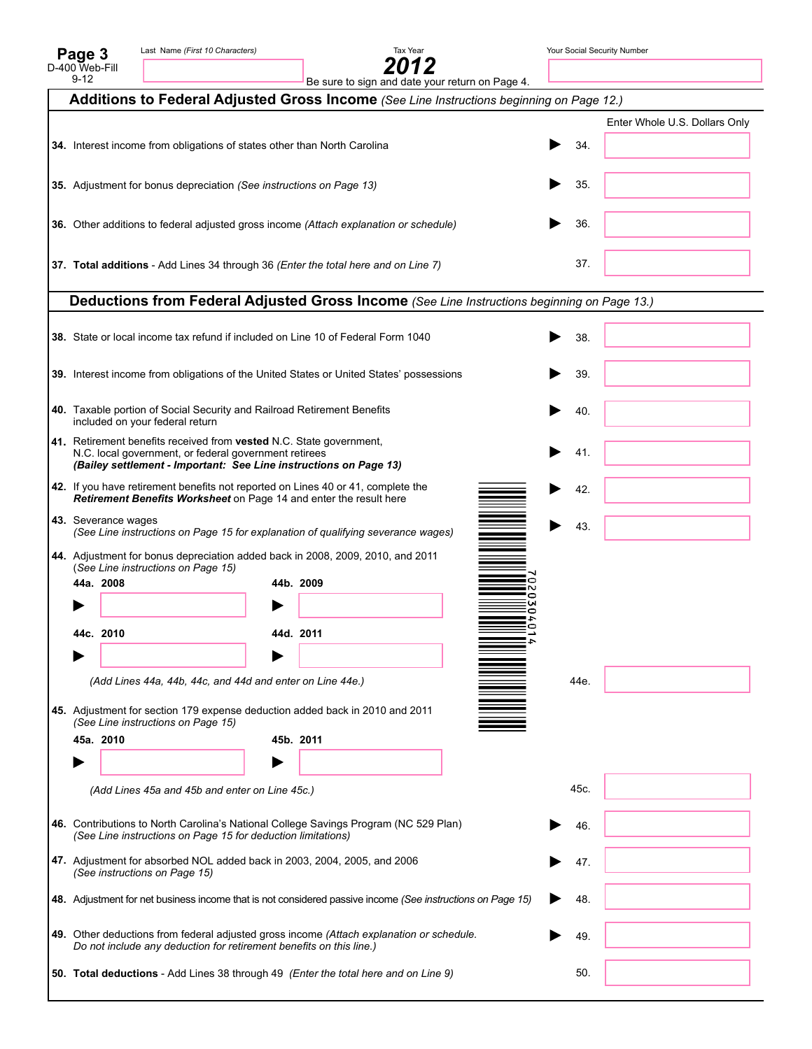| Last Name (First 10 Characters |
|--------------------------------|
|                                |

**Page 3** D-400 Web-Fill **2012** 

Last Year<br>
Fax Year
Tax Team **(Fig. 10 Characters)** Your Social Security Number

|                                                                                          |                                                                                                                                                               | $9 - 12$<br>Be sure to sign and date your return on Page 4.                                                                                                                                       |           |                                                                                                            |      |                               |  |  |  |
|------------------------------------------------------------------------------------------|---------------------------------------------------------------------------------------------------------------------------------------------------------------|---------------------------------------------------------------------------------------------------------------------------------------------------------------------------------------------------|-----------|------------------------------------------------------------------------------------------------------------|------|-------------------------------|--|--|--|
| Additions to Federal Adjusted Gross Income (See Line Instructions beginning on Page 12.) |                                                                                                                                                               |                                                                                                                                                                                                   |           |                                                                                                            |      |                               |  |  |  |
|                                                                                          |                                                                                                                                                               |                                                                                                                                                                                                   |           |                                                                                                            |      | Enter Whole U.S. Dollars Only |  |  |  |
|                                                                                          |                                                                                                                                                               | 34. Interest income from obligations of states other than North Carolina                                                                                                                          |           |                                                                                                            | 34.  |                               |  |  |  |
|                                                                                          |                                                                                                                                                               | 35. Adjustment for bonus depreciation (See instructions on Page 13)                                                                                                                               | 35.       |                                                                                                            |      |                               |  |  |  |
|                                                                                          |                                                                                                                                                               | 36. Other additions to federal adjusted gross income (Attach explanation or schedule)                                                                                                             | 36.       |                                                                                                            |      |                               |  |  |  |
|                                                                                          |                                                                                                                                                               | 37. Total additions - Add Lines 34 through 36 (Enter the total here and on Line 7)                                                                                                                | 37.       |                                                                                                            |      |                               |  |  |  |
|                                                                                          |                                                                                                                                                               |                                                                                                                                                                                                   |           | Deductions from Federal Adjusted Gross Income (See Line Instructions beginning on Page 13.)                |      |                               |  |  |  |
|                                                                                          |                                                                                                                                                               | 38. State or local income tax refund if included on Line 10 of Federal Form 1040                                                                                                                  |           |                                                                                                            | 38.  |                               |  |  |  |
|                                                                                          |                                                                                                                                                               |                                                                                                                                                                                                   |           | 39. Interest income from obligations of the United States or United States' possessions                    | 39.  |                               |  |  |  |
|                                                                                          |                                                                                                                                                               | 40. Taxable portion of Social Security and Railroad Retirement Benefits<br>included on your federal return                                                                                        |           |                                                                                                            | 40.  |                               |  |  |  |
|                                                                                          |                                                                                                                                                               | 41. Retirement benefits received from vested N.C. State government,<br>N.C. local government, or federal government retirees<br>(Bailey settlement - Important: See Line instructions on Page 13) |           |                                                                                                            | 41.  |                               |  |  |  |
|                                                                                          | 42. If you have retirement benefits not reported on Lines 40 or 41, complete the<br>42.<br>Retirement Benefits Worksheet on Page 14 and enter the result here |                                                                                                                                                                                                   |           |                                                                                                            |      |                               |  |  |  |
|                                                                                          | 43. Severance wages<br>43.<br>(See Line instructions on Page 15 for explanation of qualifying severance wages)                                                |                                                                                                                                                                                                   |           |                                                                                                            |      |                               |  |  |  |
|                                                                                          |                                                                                                                                                               | 44. Adjustment for bonus depreciation added back in 2008, 2009, 2010, and 2011                                                                                                                    |           |                                                                                                            |      |                               |  |  |  |
|                                                                                          |                                                                                                                                                               | (See Line instructions on Page 15)<br>44a. 2008                                                                                                                                                   |           |                                                                                                            |      |                               |  |  |  |
|                                                                                          |                                                                                                                                                               |                                                                                                                                                                                                   | 44b. 2009 |                                                                                                            |      |                               |  |  |  |
|                                                                                          |                                                                                                                                                               | 44c. 2010                                                                                                                                                                                         | 44d. 2011 |                                                                                                            |      |                               |  |  |  |
|                                                                                          |                                                                                                                                                               |                                                                                                                                                                                                   |           |                                                                                                            |      |                               |  |  |  |
|                                                                                          |                                                                                                                                                               | (Add Lines 44a, 44b, 44c, and 44d and enter on Line 44e.)                                                                                                                                         |           |                                                                                                            | 44e. |                               |  |  |  |
|                                                                                          |                                                                                                                                                               | 45. Adjustment for section 179 expense deduction added back in 2010 and 2011                                                                                                                      |           |                                                                                                            |      |                               |  |  |  |
|                                                                                          |                                                                                                                                                               | (See Line instructions on Page 15)<br>45a. 2010                                                                                                                                                   | 45b. 2011 |                                                                                                            |      |                               |  |  |  |
|                                                                                          |                                                                                                                                                               |                                                                                                                                                                                                   |           |                                                                                                            |      |                               |  |  |  |
|                                                                                          |                                                                                                                                                               | (Add Lines 45a and 45b and enter on Line 45c.)                                                                                                                                                    |           |                                                                                                            | 45c. |                               |  |  |  |
|                                                                                          |                                                                                                                                                               | (See Line instructions on Page 15 for deduction limitations)                                                                                                                                      |           | 46. Contributions to North Carolina's National College Savings Program (NC 529 Plan)                       | 46.  |                               |  |  |  |
|                                                                                          | 47. Adjustment for absorbed NOL added back in 2003, 2004, 2005, and 2006<br>47.<br>(See instructions on Page 15)                                              |                                                                                                                                                                                                   |           |                                                                                                            |      |                               |  |  |  |
|                                                                                          |                                                                                                                                                               |                                                                                                                                                                                                   |           | 48. Adjustment for net business income that is not considered passive income (See instructions on Page 15) | 48.  |                               |  |  |  |
|                                                                                          |                                                                                                                                                               | Do not include any deduction for retirement benefits on this line.)                                                                                                                               |           | 49. Other deductions from federal adjusted gross income (Attach explanation or schedule.                   | 49.  |                               |  |  |  |
|                                                                                          |                                                                                                                                                               | 50. Total deductions - Add Lines 38 through 49 (Enter the total here and on Line 9)                                                                                                               |           |                                                                                                            | 50.  |                               |  |  |  |